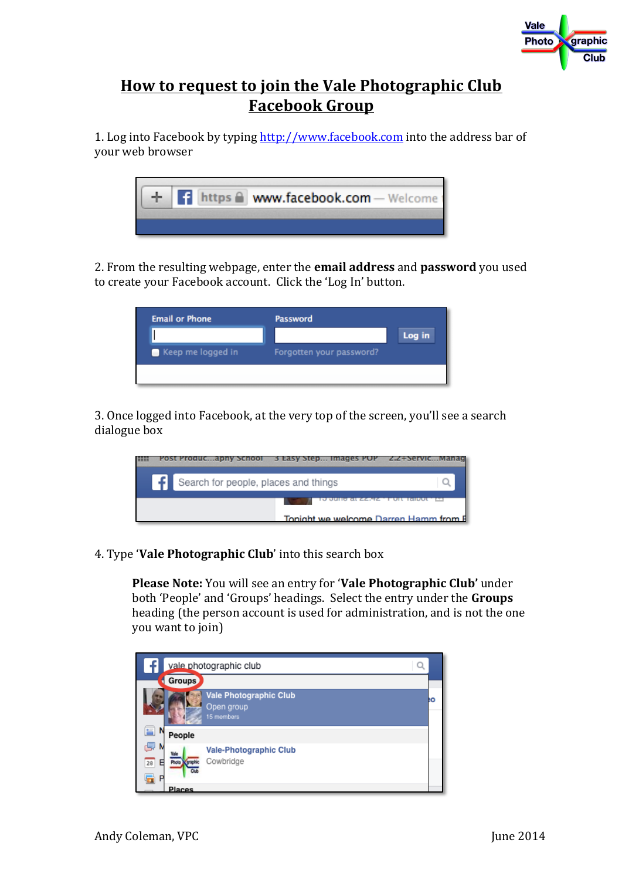

## **How to request to join the Vale Photographic Club Facebook Group**

1. Log into Facebook by typing http://www.facebook.com into the address bar of your web browser



2. From the resulting webpage, enter the **email address** and **password** you used to create your Facebook account. Click the 'Log In' button.

| <b>Email or Phone</b> | Password                 |        |
|-----------------------|--------------------------|--------|
|                       |                          | Log in |
| Keep me logged in     | Forgotten your password? |        |
|                       |                          |        |

3. Once logged into Facebook, at the very top of the screen, you'll see a search dialogue box



4. Type **Vale Photographic Club**' into this search box

**Please Note:** You will see an entry for **'Vale Photographic Club'** under both 'People' and 'Groups' headings. Select the entry under the Groups heading (the person account is used for administration, and is not the one you want to join)